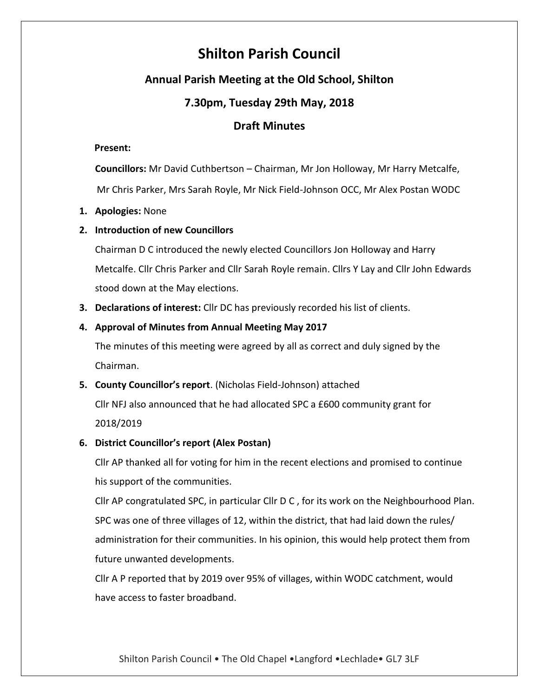# **Shilton Parish Council**

# **Annual Parish Meeting at the Old School, Shilton**

# **7.30pm, Tuesday 29th May, 2018**

## **Draft Minutes**

## **Present:**

**Councillors:** Mr David Cuthbertson – Chairman, Mr Jon Holloway, Mr Harry Metcalfe, Mr Chris Parker, Mrs Sarah Royle, Mr Nick Field-Johnson OCC, Mr Alex Postan WODC

## **1. Apologies:** None

## **2. Introduction of new Councillors**

Chairman D C introduced the newly elected Councillors Jon Holloway and Harry Metcalfe. Cllr Chris Parker and Cllr Sarah Royle remain. Cllrs Y Lay and Cllr John Edwards stood down at the May elections.

**3. Declarations of interest:** Cllr DC has previously recorded his list of clients.

## **4. Approval of Minutes from Annual Meeting May 2017**

The minutes of this meeting were agreed by all as correct and duly signed by the Chairman.

**5. County Councillor's report**. (Nicholas Field-Johnson) attached

Cllr NFJ also announced that he had allocated SPC a £600 community grant for 2018/2019

## **6. District Councillor's report (Alex Postan)**

Cllr AP thanked all for voting for him in the recent elections and promised to continue his support of the communities.

Cllr AP congratulated SPC, in particular Cllr D C , for its work on the Neighbourhood Plan. SPC was one of three villages of 12, within the district, that had laid down the rules/ administration for their communities. In his opinion, this would help protect them from future unwanted developments.

Cllr A P reported that by 2019 over 95% of villages, within WODC catchment, would have access to faster broadband.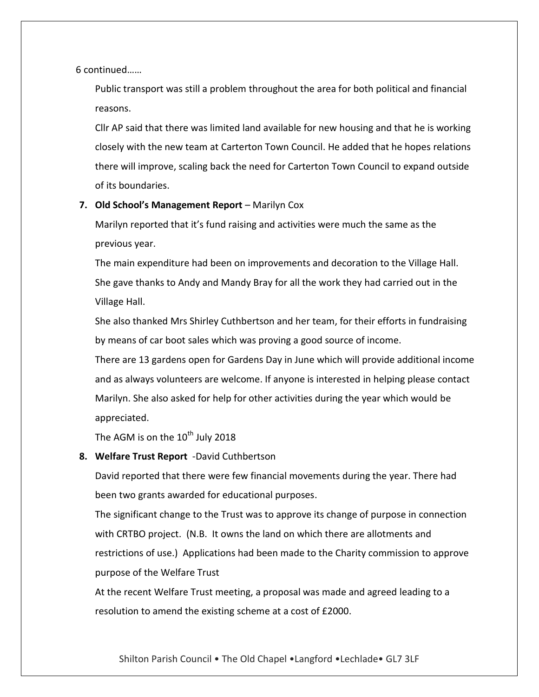6 continued……

Public transport was still a problem throughout the area for both political and financial reasons.

Cllr AP said that there was limited land available for new housing and that he is working closely with the new team at Carterton Town Council. He added that he hopes relations there will improve, scaling back the need for Carterton Town Council to expand outside of its boundaries.

## **7. Old School's Management Report** – Marilyn Cox

Marilyn reported that it's fund raising and activities were much the same as the previous year.

The main expenditure had been on improvements and decoration to the Village Hall. She gave thanks to Andy and Mandy Bray for all the work they had carried out in the Village Hall.

She also thanked Mrs Shirley Cuthbertson and her team, for their efforts in fundraising by means of car boot sales which was proving a good source of income.

There are 13 gardens open for Gardens Day in June which will provide additional income and as always volunteers are welcome. If anyone is interested in helping please contact Marilyn. She also asked for help for other activities during the year which would be appreciated.

The AGM is on the  $10^{th}$  July 2018

## **8. Welfare Trust Report** -David Cuthbertson

David reported that there were few financial movements during the year. There had been two grants awarded for educational purposes.

The significant change to the Trust was to approve its change of purpose in connection with CRTBO project. (N.B. It owns the land on which there are allotments and restrictions of use.) Applications had been made to the Charity commission to approve purpose of the Welfare Trust

At the recent Welfare Trust meeting, a proposal was made and agreed leading to a resolution to amend the existing scheme at a cost of £2000.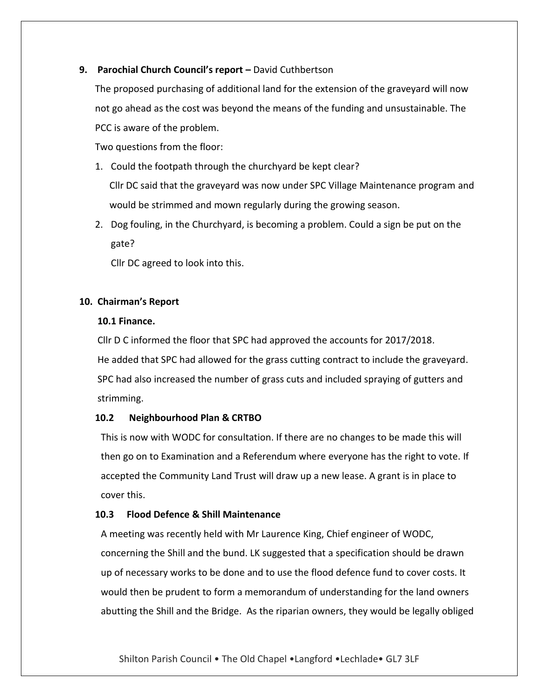## **9. Parochial Church Council's report –** David Cuthbertson

The proposed purchasing of additional land for the extension of the graveyard will now not go ahead as the cost was beyond the means of the funding and unsustainable. The PCC is aware of the problem.

Two questions from the floor:

- 1. Could the footpath through the churchyard be kept clear? Cllr DC said that the graveyard was now under SPC Village Maintenance program and would be strimmed and mown regularly during the growing season.
- 2. Dog fouling, in the Churchyard, is becoming a problem. Could a sign be put on the gate?

Cllr DC agreed to look into this.

## **10. Chairman's Report**

## **10.1 Finance.**

Cllr D C informed the floor that SPC had approved the accounts for 2017/2018. He added that SPC had allowed for the grass cutting contract to include the graveyard. SPC had also increased the number of grass cuts and included spraying of gutters and strimming.

#### **10.2 Neighbourhood Plan & CRTBO**

This is now with WODC for consultation. If there are no changes to be made this will then go on to Examination and a Referendum where everyone has the right to vote. If accepted the Community Land Trust will draw up a new lease. A grant is in place to cover this.

## **10.3 Flood Defence & Shill Maintenance**

A meeting was recently held with Mr Laurence King, Chief engineer of WODC, concerning the Shill and the bund. LK suggested that a specification should be drawn up of necessary works to be done and to use the flood defence fund to cover costs. It would then be prudent to form a memorandum of understanding for the land owners abutting the Shill and the Bridge. As the riparian owners, they would be legally obliged